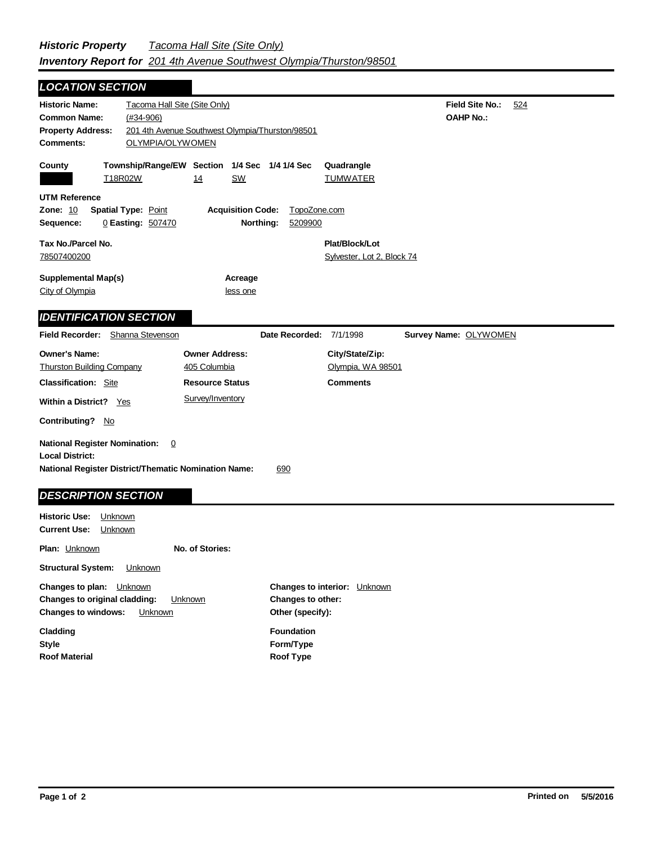| <b>LOCATION SECTION</b>                                                                                                                                                              |                                                                 |                                                                                     |                |                                                         |  |                                     |     |
|--------------------------------------------------------------------------------------------------------------------------------------------------------------------------------------|-----------------------------------------------------------------|-------------------------------------------------------------------------------------|----------------|---------------------------------------------------------|--|-------------------------------------|-----|
| <b>Historic Name:</b><br><b>Common Name:</b><br><b>Property Address:</b><br>Comments:                                                                                                | Tacoma Hall Site (Site Only)<br>$(#34-906)$<br>OLYMPIA/OLYWOMEN | 201 4th Avenue Southwest Olympia/Thurston/98501                                     |                |                                                         |  | Field Site No.:<br><b>OAHP No.:</b> | 524 |
| County                                                                                                                                                                               | T18R02W                                                         | Township/Range/EW Section 1/4 Sec<br><b>SW</b><br>14                                | 1/4 1/4 Sec    | Quadrangle<br><b>TUMWATER</b>                           |  |                                     |     |
| <b>UTM Reference</b><br>Zone: 10<br><b>Spatial Type: Point</b><br><b>Acquisition Code:</b><br>TopoZone.com<br>Northing:<br>0 Easting: 507470<br>5209900<br>Sequence:                 |                                                                 |                                                                                     |                |                                                         |  |                                     |     |
| Tax No./Parcel No.<br>78507400200                                                                                                                                                    |                                                                 |                                                                                     |                | Plat/Block/Lot<br>Sylvester, Lot 2, Block 74            |  |                                     |     |
| <b>Supplemental Map(s)</b><br>City of Olympia                                                                                                                                        |                                                                 | Acreage<br>less one                                                                 |                |                                                         |  |                                     |     |
| <b>IDENTIFICATION SECTION</b>                                                                                                                                                        |                                                                 |                                                                                     |                |                                                         |  |                                     |     |
| Field Recorder: Shanna Stevenson                                                                                                                                                     |                                                                 |                                                                                     | Date Recorded: | 7/1/1998                                                |  | Survey Name: OLYWOMEN               |     |
| <b>Owner's Name:</b><br><b>Thurston Building Company</b><br><b>Classification:</b> Site<br>Within a District? Yes                                                                    |                                                                 | <b>Owner Address:</b><br>405 Columbia<br><b>Resource Status</b><br>Survey/Inventory |                | City/State/Zip:<br>Olympia, WA 98501<br><b>Comments</b> |  |                                     |     |
| <b>Contributing?</b><br>No                                                                                                                                                           |                                                                 |                                                                                     |                |                                                         |  |                                     |     |
| <b>National Register Nomination:</b><br>$\overline{0}$<br><b>Local District:</b><br><b>National Register District/Thematic Nomination Name:</b><br>690<br><b>DESCRIPTION SECTION</b> |                                                                 |                                                                                     |                |                                                         |  |                                     |     |
| <b>Historic Use:</b><br>Unknown<br><b>Current Use:</b><br>Unknown                                                                                                                    |                                                                 |                                                                                     |                |                                                         |  |                                     |     |

**Plan:** Unknown **No. of Stories:**

**Structural System:** Unknown

**Changes to plan:** Unknown **Changes to original cladding:** Unknown **Changes to windows:** Unknown

**Style Cladding Roof Material** **Other (specify): Changes to interior:** Unknown **Changes to other: Foundation**

**Form/Type Roof Type**